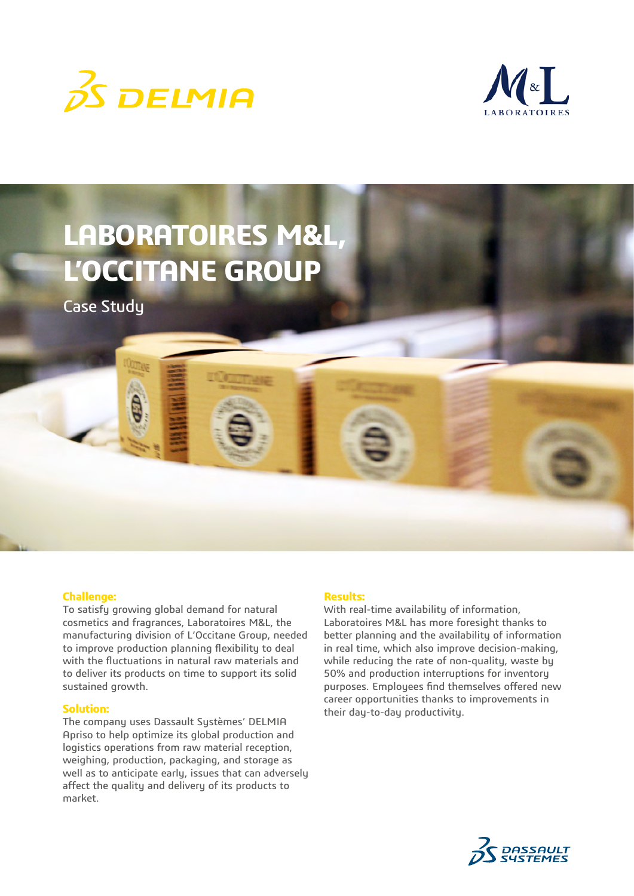



# **LABORATOIRES M&L, L'OCCITANE GROUP**

Case Study

# **Challenge:**

To satisfy growing global demand for natural cosmetics and fragrances, Laboratoires M&L, the manufacturing division of L'Occitane Group, needed to improve production planning flexibility to deal with the fluctuations in natural raw materials and to deliver its products on time to support its solid sustained growth.

#### **Solution:**

The company uses Dassault Systèmes' DELMIA Apriso to help optimize its global production and logistics operations from raw material reception, weighing, production, packaging, and storage as well as to anticipate early, issues that can adversely affect the quality and delivery of its products to market.

#### **Results:**

With real-time availability of information, Laboratoires M&L has more foresight thanks to better planning and the availability of information in real time, which also improve decision-making, while reducing the rate of non-quality, waste by 50% and production interruptions for inventory purposes. Employees find themselves offered new career opportunities thanks to improvements in their day-to-day productivity.

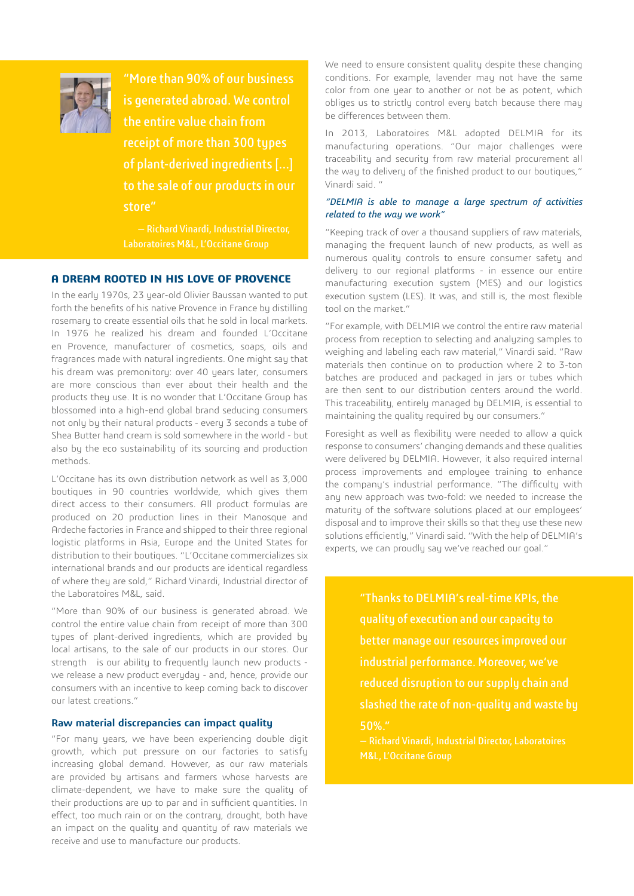

"More than 90% of our business is generated abroad. We control the entire value chain from receipt of more than 300 types of plant-derived ingredients [...] to the sale of our products in our store"

Laboratoires M&L, L'Occitane Group

### **A DREAM ROOTED IN HIS LOVE OF PROVENCE**

In the early 1970s, 23 year-old Olivier Baussan wanted to put forth the benefits of his native Provence in France by distilling rosemary to create essential oils that he sold in local markets. In 1976 he realized his dream and founded L'Occitane en Provence, manufacturer of cosmetics, soaps, oils and fragrances made with natural ingredients. One might say that his dream was premonitory: over 40 years later, consumers are more conscious than ever about their health and the products they use. It is no wonder that L'Occitane Group has blossomed into a high-end global brand seducing consumers not only by their natural products - every 3 seconds a tube of Shea Butter hand cream is sold somewhere in the world - but also by the eco sustainability of its sourcing and production methods.

L'Occitane has its own distribution network as well as 3,000 boutiques in 90 countries worldwide, which gives them direct access to their consumers. All product formulas are produced on 20 production lines in their Manosque and Ardeche factories in France and shipped to their three regional logistic platforms in Asia, Europe and the United States for distribution to their boutiques. "L'Occitane commercializes six international brands and our products are identical regardless of where they are sold," Richard Vinardi, Industrial director of the Laboratoires M&L, said.

"More than 90% of our business is generated abroad. We control the entire value chain from receipt of more than 300 types of plant-derived ingredients, which are provided by local artisans, to the sale of our products in our stores. Our strength is our ability to frequently launch new products we release a new product everyday - and, hence, provide our consumers with an incentive to keep coming back to discover our latest creations."

#### **Raw material discrepancies can impact quality**

"For many years, we have been experiencing double digit growth, which put pressure on our factories to satisfy increasing global demand. However, as our raw materials are provided by artisans and farmers whose harvests are climate-dependent, we have to make sure the quality of their productions are up to par and in sufficient quantities. In effect, too much rain or on the contrary, drought, both have an impact on the quality and quantity of raw materials we receive and use to manufacture our products.

We need to ensure consistent quality despite these changing conditions. For example, lavender may not have the same color from one year to another or not be as potent, which obliges us to strictly control every batch because there may be differences between them.

In 2013, Laboratoires M&L adopted DELMIA for its manufacturing operations. "Our major challenges were traceability and security from raw material procurement all the way to delivery of the finished product to our boutiques," Vinardi said. "

#### *"DELMIA is able to manage a large spectrum of activities related to the way we work"*

"Keeping track of over a thousand suppliers of raw materials, managing the frequent launch of new products, as well as numerous quality controls to ensure consumer safety and delivery to our regional platforms - in essence our entire manufacturing execution system (MES) and our logistics execution sustem (LES). It was, and still is, the most flexible tool on the market."

"For example, with DELMIA we control the entire raw material process from reception to selecting and analyzing samples to weighing and labeling each raw material," Vinardi said. "Raw materials then continue on to production where 2 to 3-ton batches are produced and packaged in jars or tubes which are then sent to our distribution centers around the world. This traceability, entirely managed by DELMIA, is essential to maintaining the quality required by our consumers."

Foresight as well as flexibility were needed to allow a quick response to consumers' changing demands and these qualities were delivered by DELMIA. However, it also required internal process improvements and employee training to enhance the company's industrial performance. "The difficulty with any new approach was two-fold: we needed to increase the maturity of the software solutions placed at our employees' disposal and to improve their skills so that they use these new solutions efficiently," Vinardi said. "With the help of DELMIA's experts, we can proudly say we've reached our goal."

> "Thanks to DELMIA's real-time KPIs, the better manage our resources improved our industrial performance. Moreover, we've reduced disruption to our supply chain and slashed the rate of non-quality and waste by 50%."

— Richard Vinardi, Industrial Director, Laboratoires M&L, L'Occitane Group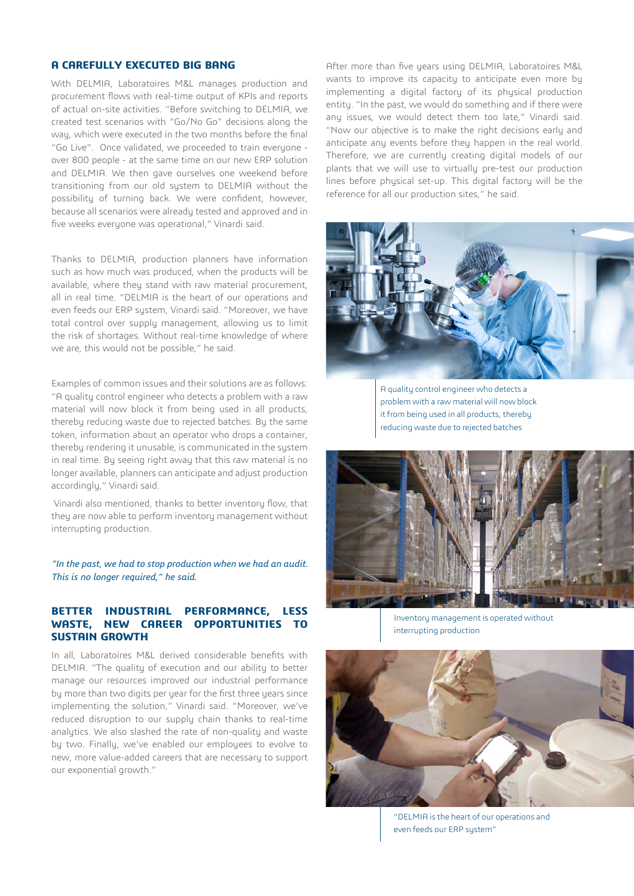# **A CAREFULLY EXECUTED BIG BANG**

With DELMIA, Laboratoires M&L manages production and procurement flows with real-time output of KPIs and reports of actual on-site activities. "Before switching to DELMIA, we created test scenarios with "Go/No Go" decisions along the way, which were executed in the two months before the final "Go Live". Once validated, we proceeded to train everyone over 800 people - at the same time on our new ERP solution and DELMIA. We then gave ourselves one weekend before transitioning from our old system to DELMIA without the possibility of turning back. We were confident, however, because all scenarios were already tested and approved and in five weeks everyone was operational," Vinardi said.

Thanks to DELMIA, production planners have information such as how much was produced, when the products will be available, where they stand with raw material procurement, all in real time. "DELMIA is the heart of our operations and even feeds our ERP system, Vinardi said. "Moreover, we have total control over supply management, allowing us to limit the risk of shortages. Without real-time knowledge of where we are, this would not be possible," he said.

Examples of common issues and their solutions are as follows: "A quality control engineer who detects a problem with a raw material will now block it from being used in all products, thereby reducing waste due to rejected batches. By the same token, information about an operator who drops a container, thereby rendering it unusable, is communicated in the system in real time. By seeing right away that this raw material is no longer available, planners can anticipate and adjust production accordingly," Vinardi said.

 Vinardi also mentioned, thanks to better inventory flow, that they are now able to perform inventory management without interrupting production.

*"In the past, we had to stop production when we had an audit. This is no longer required," he said.*

### **BETTER INDUSTRIAL PERFORMANCE, LESS WASTE, NEW CAREER OPPORTUNITIES TO SUSTAIN GROWTH**

In all, Laboratoires M&L derived considerable benefits with DELMIA. "The quality of execution and our ability to better manage our resources improved our industrial performance by more than two digits per year for the first three years since implementing the solution," Vinardi said. "Moreover, we've reduced disruption to our supply chain thanks to real-time analytics. We also slashed the rate of non-quality and waste by two. Finally, we've enabled our employees to evolve to new, more value-added careers that are necessary to support our exponential growth."

After more than five years using DELMIA, Laboratoires M&L wants to improve its capacity to anticipate even more by implementing a digital factory of its physical production entity. "In the past, we would do something and if there were any issues, we would detect them too late," Vinardi said. "Now our objective is to make the right decisions early and anticipate any events before they happen in the real world. Therefore, we are currently creating digital models of our plants that we will use to virtually pre-test our production lines before physical set-up. This digital factory will be the reference for all our production sites," he said.



A quality control engineer who detects a problem with a raw material will now block it from being used in all products, thereby reducing waste due to rejected batches



Inventory management is operated without interrupting production



"DELMIA is the heart of our operations and even feeds our ERP system"